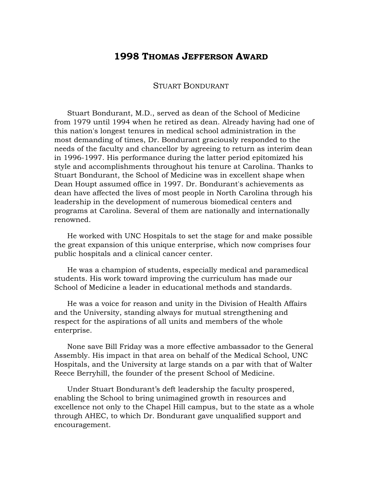## **1998 THOMAS JEFFERSON AWARD**

## STUART BONDURANT

Stuart Bondurant, M.D., served as dean of the School of Medicine from 1979 until 1994 when he retired as dean. Already having had one of this nation's longest tenures in medical school administration in the most demanding of times, Dr. Bondurant graciously responded to the needs of the faculty and chancellor by agreeing to return as interim dean in 1996-1997. His performance during the latter period epitomized his style and accomplishments throughout his tenure at Carolina. Thanks to Stuart Bondurant, the School of Medicine was in excellent shape when Dean Houpt assumed office in 1997. Dr. Bondurant's achievements as dean have affected the lives of most people in North Carolina through his leadership in the development of numerous biomedical centers and programs at Carolina. Several of them are nationally and internationally renowned.

He worked with UNC Hospitals to set the stage for and make possible the great expansion of this unique enterprise, which now comprises four public hospitals and a clinical cancer center.

He was a champion of students, especially medical and paramedical students. His work toward improving the curriculum has made our School of Medicine a leader in educational methods and standards.

He was a voice for reason and unity in the Division of Health Affairs and the University, standing always for mutual strengthening and respect for the aspirations of all units and members of the whole enterprise.

None save Bill Friday was a more effective ambassador to the General Assembly. His impact in that area on behalf of the Medical School, UNC Hospitals, and the University at large stands on a par with that of Walter Reece Berryhill, the founder of the present School of Medicine.

Under Stuart Bondurant's deft leadership the faculty prospered, enabling the School to bring unimagined growth in resources and excellence not only to the Chapel Hill campus, but to the state as a whole through AHEC, to which Dr. Bondurant gave unqualified support and encouragement.